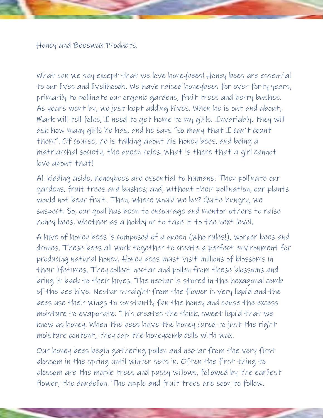Honey and Beeswax Products.

What can we say except that we love honeybees! Honey bees are essential to our lives and livelihoods. We have raised honeybees for over forty years, primarily to pollinate our organic gardens, fruit trees and berry bushes. As years went by, we just kept adding hives. When he is out and about, Mark will tell folks, I need to get home to my girls. Invariably, they will ask how many girls he has, and he says "so many that  $I$  can't count them"! Of course, he is talking about his honey bees, and being a matriarchal society, the queen rules. What is there that a girl cannot love about that!

All kidding aside, honeybees are essential to humans. They pollinate our gardens, fruit trees and bushes; and, without their pollination, our plants would not bear fruit. Then, where would we be? Quite hungry, we suspect. So, our goal has been to encourage and mentor others to raise honey bees, whether as a hobby or to take it to the next level.

A hive of honey bees is composed of a queen (who rules!), worker bees and drones. These bees all work together to create a perfect environment for producing natural honey. Honey bees must visit millions of blossoms in their lifetimes. They collect nectar and pollen from these blossoms and bring it back to their hives. The nectar is stored in the hexagonal comb of the bee hive. Nectar straight from the flower is very liquid and the bees use their wings to constantly fan the honey and cause the excess moisture to evaporate. This creates the thick, sweet liquid that we know as honey. When the bees have the honey cured to just the right moisture content, they cap the honeycomb cells with wax.

Our honey bees begin gathering pollen and nectar from the very first blossom in the spring until winter sets in. Often the first thing to blossom are the maple trees and pussy willows, followed by the earliest flower, the dandelion. The apple and fruit trees are soon to follow.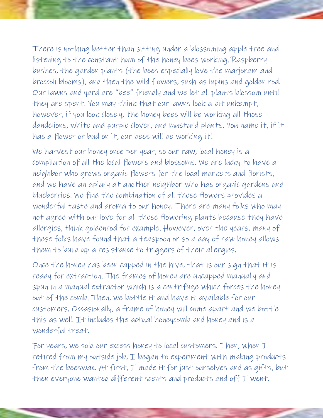There is nothing better than sitting under a blossoming apple tree and listening to the constant hum of the honey bees working. Raspberry bushes, the garden plants (the bees especially love the marjoram and broccoli blooms), and then the wild flowers, such as lupins and golden rod. Our lawns and yard are "bee" friendly and we let all plants blossom until they are spent. You may think that our lawns look a bit unkempt, however, if you look closely, the honey bees will be working all those dandelions, white and purple clover, and mustard plants. You name it, if it has a flower or bud on it, our bees will be working it!

We harvest our honey once per year, so our raw, local honey is a compilation of all the local flowers and blossoms. We are lucky to have a neighbor who grows organic flowers for the local markets and florists, and we have an apiary at another neighbor who has organic gardens and blueberries. We find the combination of all these flowers provides a wonderful taste and aroma to our honey. There are many folks who may not agree with our love for all these flowering plants because they have allergies, think goldenrod for example. However, over the years, many of these folks have found that a teaspoon or so a day of raw honey allows them to build up a resistance to triggers of their allergies.

Once the honey has been capped in the hive, that is our sign that it is ready for extraction. The frames of honey are uncapped manually and spun in a manual extractor which is a centrifuge which forces the honey out of the comb. Then, we bottle it and have it available for our customers. Occasionally, a frame of honey will come apart and we bottle this as well. It includes the actual honeycomb and honey and is a wonderful treat.

For years, we sold our excess honey to local customers. Then, when  $I$ retired from my outside job,  $I$  began to experiment with making products from the beeswax. At first, I made it for just ourselves and as gifts, but then everyone wanted different scents and products and off  $I$  went.